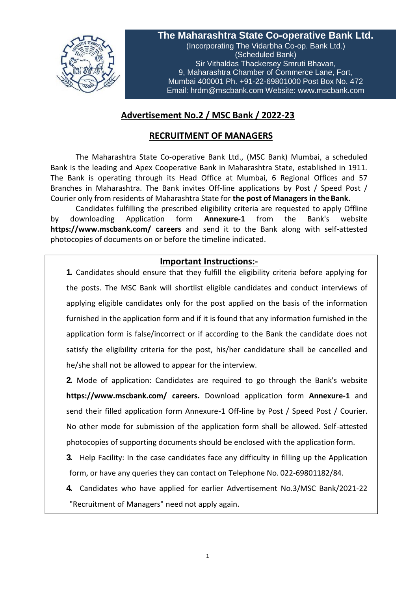

**The Maharashtra State Co-operative Bank Ltd.** (Incorporating The Vidarbha Co-op. Bank Ltd.) (Scheduled Bank) Sir Vithaldas Thackersey Smruti Bhavan, 9, Maharashtra Chamber of Commerce Lane, Fort, Mumbai 400001 Ph. +91-22-69801000 Post Box No. 472 Email: [hrdm@mscbank.com](mailto:hrdm@mscbank.com) Website: [www.mscbank.com](http://www.mscbank.com/)

# **Advertisement No.2 / MSC Bank / 2022-23**

## **RECRUITMENT OF MANAGERS**

The Maharashtra State Co-operative Bank Ltd., (MSC Bank) Mumbai, a scheduled Bank is the leading and Apex Cooperative Bank in Maharashtra State, established in 1911. The Bank is operating through its Head Office at Mumbai, 6 Regional Offices and 57 Branches in Maharashtra. The Bank invites Off-line applications by Post / Speed Post / Courier only from residents of Maharashtra State for **the post of Managers in the Bank.**

Candidates fulfilling the prescribed eligibility criteria are requested to apply Offline by downloading Application form **Annexure-1** from the Bank's website **http[s://www.mscbank.com/](http://www.mscbank.com/) careers** and send it to the Bank along with self-attested photocopies of documents on or before the timeline indicated.

## **Important Instructions:-**

**1.** Candidates should ensure that they fulfill the eligibility criteria before applying for the posts. The MSC Bank will shortlist eligible candidates and conduct interviews of applying eligible candidates only for the post applied on the basis of the information furnished in the application form and if it is found that any information furnished in the application form is false/incorrect or if according to the Bank the candidate does not satisfy the eligibility criteria for the post, his/her candidature shall be cancelled and he/she shall not be allowed to appear for the interview.

**2.** Mode of application: Candidates are required to go through the Bank's website **http[s://www.mscbank.com/](http://www.mscbank.com/) careers.** Download application form **Annexure-1** and send their filled application form Annexure-1 Off-line by Post / Speed Post / Courier. No other mode for submission of the application form shall be allowed. Self-attested photocopies of supporting documents should be enclosed with the application form.

**3.** Help Facility: In the case candidates face any difficulty in filling up the Application form, or have any queries they can contact on Telephone No. 022-69801182/84.

**4.** Candidates who have applied for earlier Advertisement No.3/MSC Bank/2021-22 "Recruitment of Managers" need not apply again.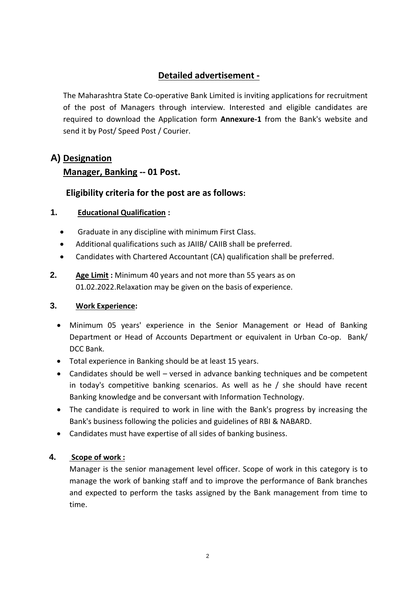# **Detailed advertisement -**

The Maharashtra State Co-operative Bank Limited is inviting applications for recruitment of the post of Managers through interview. Interested and eligible candidates are required to download the Application form **Annexure-1** from the Bank's website and send it by Post/ Speed Post / Courier.

# **A) Designation**

## **Manager, Banking -- 01 Post.**

# **Eligibility criteria for the post are as follows:**

## **1. Educational Qualification :**

- Graduate in any discipline with minimum First Class.
- Additional qualifications such as JAIIB/ CAIIB shall be preferred.
- Candidates with Chartered Accountant (CA) qualification shall be preferred.
- **2. Age Limit :** Minimum 40 years and not more than 55 years as on 01.02.2022.Relaxation may be given on the basis of experience.

#### **3. Work Experience:**

- Minimum 05 years' experience in the Senior Management or Head of Banking Department or Head of Accounts Department or equivalent in Urban Co-op. Bank/ DCC Bank.
- Total experience in Banking should be at least 15 years.
- Candidates should be well versed in advance banking techniques and be competent in today's competitive banking scenarios. As well as he / she should have recent Banking knowledge and be conversant with Information Technology.
- The candidate is required to work in line with the Bank's progress by increasing the Bank's business following the policies and guidelines of RBI & NABARD.
- Candidates must have expertise of all sides of banking business.

## **4. Scope of work :**

Manager is the senior management level officer. Scope of work in this category is to manage the work of banking staff and to improve the performance of Bank branches and expected to perform the tasks assigned by the Bank management from time to time.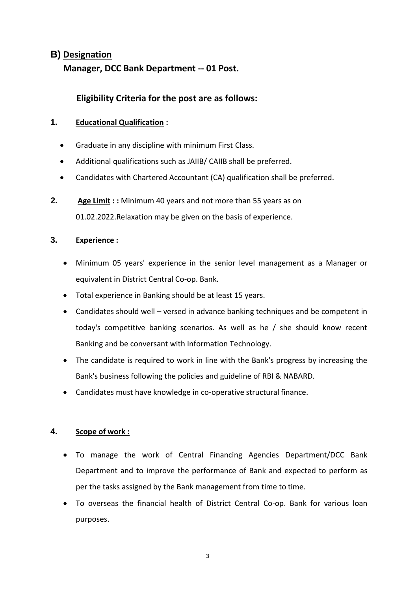# **B) Designation Manager, DCC Bank Department -- 01 Post.**

## **Eligibility Criteria for the post are as follows:**

## **1. Educational Qualification :**

- Graduate in any discipline with minimum First Class.
- Additional qualifications such as JAIIB/ CAIIB shall be preferred.
- Candidates with Chartered Accountant (CA) qualification shall be preferred.
- **2. Age Limit : :** Minimum 40 years and not more than 55 years as on 01.02.2022.Relaxation may be given on the basis of experience.

### **3. Experience :**

- Minimum 05 years' experience in the senior level management as a Manager or equivalent in District Central Co-op. Bank.
- Total experience in Banking should be at least 15 years.
- Candidates should well versed in advance banking techniques and be competent in today's competitive banking scenarios. As well as he / she should know recent Banking and be conversant with Information Technology.
- The candidate is required to work in line with the Bank's progress by increasing the Bank's business following the policies and guideline of RBI & NABARD.
- Candidates must have knowledge in co-operative structural finance.

#### **4. Scope of work :**

- To manage the work of Central Financing Agencies Department/DCC Bank Department and to improve the performance of Bank and expected to perform as per the tasks assigned by the Bank management from time to time.
- To overseas the financial health of District Central Co-op. Bank for various loan purposes.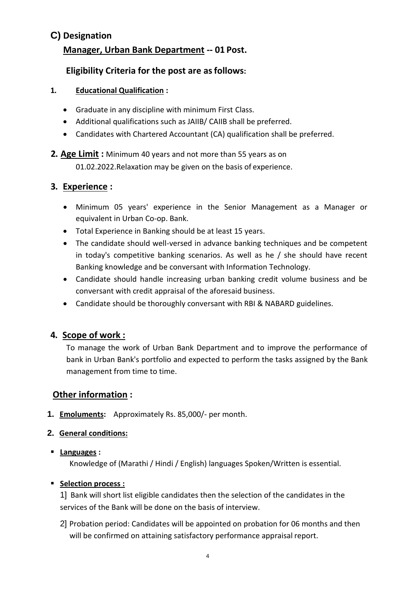# **C) Designation Manager, Urban Bank Department -- 01 Post.**

# **Eligibility Criteria for the post are asfollows:**

- **1. Educational Qualification :**
	- Graduate in any discipline with minimum First Class.
	- Additional qualifications such as JAIIB/ CAIIB shall be preferred.
	- Candidates with Chartered Accountant (CA) qualification shall be preferred.
- **2. Age Limit :** Minimum 40 years and not more than 55 years as on 01.02.2022.Relaxation may be given on the basis of experience.

# **3. Experience :**

- Minimum 05 years' experience in the Senior Management as a Manager or equivalent in Urban Co-op. Bank.
- Total Experience in Banking should be at least 15 years.
- The candidate should well-versed in advance banking techniques and be competent in today's competitive banking scenarios. As well as he / she should have recent Banking knowledge and be conversant with Information Technology.
- Candidate should handle increasing urban banking credit volume business and be conversant with credit appraisal of the aforesaid business.
- Candidate should be thoroughly conversant with RBI & NABARD guidelines.

# **4. Scope of work :**

To manage the work of Urban Bank Department and to improve the performance of bank in Urban Bank's portfolio and expected to perform the tasks assigned by the Bank management from time to time.

# **Other information :**

- **1. Emoluments:** Approximately Rs. 85,000/- per month.
- **2. General conditions:**
- **Languages :**

Knowledge of (Marathi / Hindi / English) languages Spoken/Written is essential.

## **Selection process :**

1] Bank will short list eligible candidates then the selection of the candidates in the services of the Bank will be done on the basis of interview.

2] Probation period: Candidates will be appointed on probation for 06 months and then will be confirmed on attaining satisfactory performance appraisal report.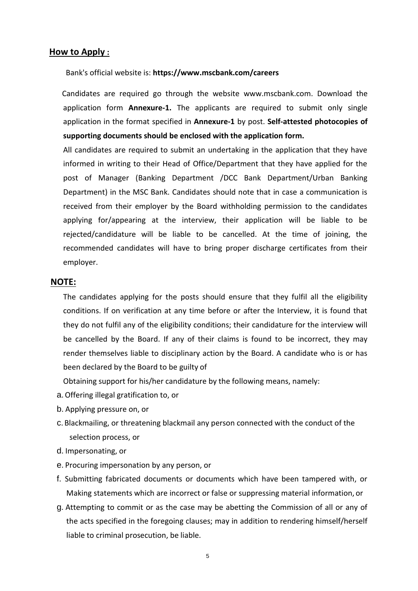#### **How to Apply :**

Bank's official website is: **http[s://www.mscbank.com/careers](http://www.mscbank.com/careers)**

Candidates are required go through the website [www.mscbank.com.](http://www.mscbank.com/) Download the application form **Annexure-1.** The applicants are required to submit only single application in the format specified in **Annexure-1** by post. **Self-attested photocopies of supporting documents should be enclosed with the application form.**

All candidates are required to submit an undertaking in the application that they have informed in writing to their Head of Office/Department that they have applied for the post of Manager (Banking Department /DCC Bank Department/Urban Banking Department) in the MSC Bank. Candidates should note that in case a communication is received from their employer by the Board withholding permission to the candidates applying for/appearing at the interview, their application will be liable to be rejected/candidature will be liable to be cancelled. At the time of joining, the recommended candidates will have to bring proper discharge certificates from their employer.

#### **NOTE:**

The candidates applying for the posts should ensure that they fulfil all the eligibility conditions. If on verification at any time before or after the Interview, it is found that they do not fulfil any of the eligibility conditions; their candidature for the interview will be cancelled by the Board. If any of their claims is found to be incorrect, they may render themselves liable to disciplinary action by the Board. A candidate who is or has been declared by the Board to be guilty of

Obtaining support for his/her candidature by the following means, namely:

- a.Offering illegal gratification to, or
- b. Applying pressure on, or
- c.Blackmailing, or threatening blackmail any person connected with the conduct of the selection process, or
- d. Impersonating, or
- e. Procuring impersonation by any person, or
- f. Submitting fabricated documents or documents which have been tampered with, or Making statements which are incorrect or false or suppressing material information, or
- g. Attempting to commit or as the case may be abetting the Commission of all or any of the acts specified in the foregoing clauses; may in addition to rendering himself/herself liable to criminal prosecution, be liable.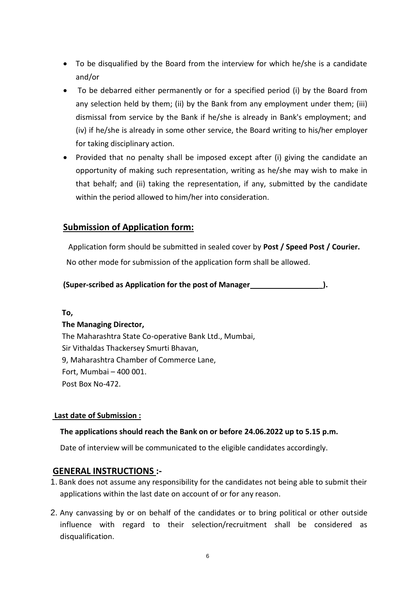- To be disqualified by the Board from the interview for which he/she is a candidate and/or
- To be debarred either permanently or for a specified period (i) by the Board from any selection held by them; (ii) by the Bank from any employment under them; (iii) dismissal from service by the Bank if he/she is already in Bank's employment; and (iv) if he/she is already in some other service, the Board writing to his/her employer for taking disciplinary action.
- Provided that no penalty shall be imposed except after (i) giving the candidate an opportunity of making such representation, writing as he/she may wish to make in that behalf; and (ii) taking the representation, if any, submitted by the candidate within the period allowed to him/her into consideration.

## **Submission of Application form:**

Application form should be submitted in sealed cover by **Post / Speed Post / Courier.**

No other mode for submission of the application form shall be allowed.

### **(Super-scribed as Application for the post of Manager \_).**

**To,**

#### **The Managing Director,**

The Maharashtra State Co-operative Bank Ltd., Mumbai, Sir Vithaldas Thackersey Smurti Bhavan, 9, Maharashtra Chamber of Commerce Lane, Fort, Mumbai – 400 001. Post Box No-472.

#### **Last date of Submission :**

#### **The applications should reach the Bank on or before 24.06.2022 up to 5.15 p.m.**

Date of interview will be communicated to the eligible candidates accordingly.

## **GENERAL INSTRUCTIONS :-**

- 1. Bank does not assume any responsibility for the candidates not being able to submit their applications within the last date on account of or for any reason.
- 2. Any canvassing by or on behalf of the candidates or to bring political or other outside influence with regard to their selection/recruitment shall be considered as disqualification.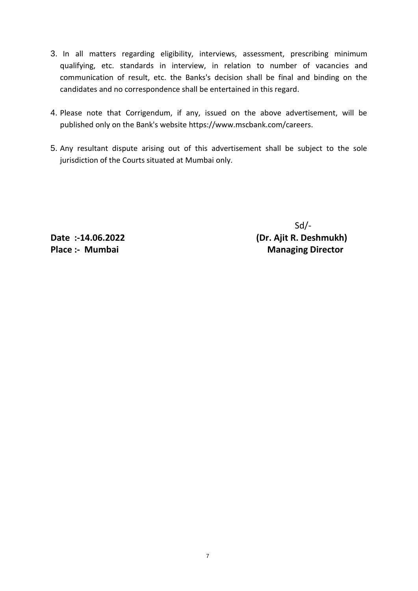- 3. In all matters regarding eligibility, interviews, assessment, prescribing minimum qualifying, etc. standards in interview, in relation to number of vacancies and communication of result, etc. the Banks's decision shall be final and binding on the candidates and no correspondence shall be entertained in this regard.
- 4. Please note that Corrigendum, if any, issued on the above advertisement, will be published only on the Bank's website https:[//www.mscbank.com/careers.](http://www.mscbank.com/careers)
- 5. Any resultant dispute arising out of this advertisement shall be subject to the sole jurisdiction of the Courts situated at Mumbai only.

 Sd/- **Date :-14.06.2022 (Dr. Ajit R. Deshmukh) Place :- Mumbai** Managing **Director**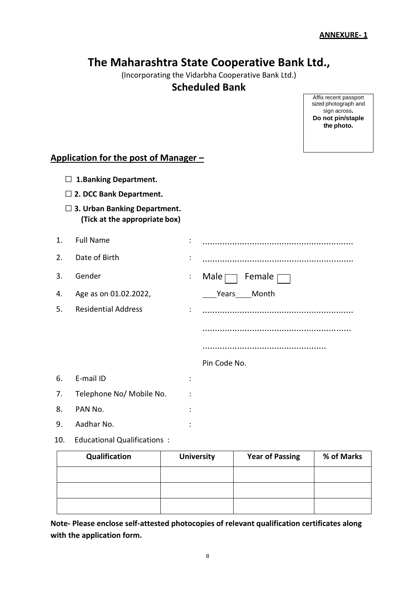# **The Maharashtra State Cooperative Bank Ltd.,**

(Incorporating the Vidarbha Cooperative Bank Ltd.)

## **Scheduled Bank**

Affix recent passport sized photograph and sign across**. Do not pin/staple the photo.**

## **Application for the post of Manager –**

- **□ 1.Banking Department.**
- **□ 2. DCC Bank Department.**
- **□ 3. Urban Banking Department. (Tick at the appropriate box)**

| 1. | <b>Full Name</b>           | $\ddot{\cdot}$       |                              |
|----|----------------------------|----------------------|------------------------------|
| 2. | Date of Birth              | ÷                    |                              |
| 3. | Gender                     | $\ddot{\phantom{a}}$ | Female $\Box$<br>Male $\Box$ |
| 4. | Age as on 01.02.2022,      |                      | Years Month                  |
| 5. | <b>Residential Address</b> | $\ddot{\cdot}$       |                              |
|    |                            |                      |                              |
|    |                            |                      |                              |
|    |                            |                      | Pin Code No.                 |
| 6. | E-mail ID                  | $\ddot{\cdot}$       |                              |
| 7. | Telephone No/ Mobile No.   | $\ddot{\cdot}$       |                              |
| 8. | PAN No.                    | ٠<br>$\bullet$       |                              |
| 9. | Aadhar No.                 | $\cdot$              |                              |

10. Educational Qualifications :

| Qualification | <b>University</b> | <b>Year of Passing</b> | % of Marks |
|---------------|-------------------|------------------------|------------|
|               |                   |                        |            |
|               |                   |                        |            |
|               |                   |                        |            |

**Note- Please enclose self-attested photocopies of relevant qualification certificates along with the application form.**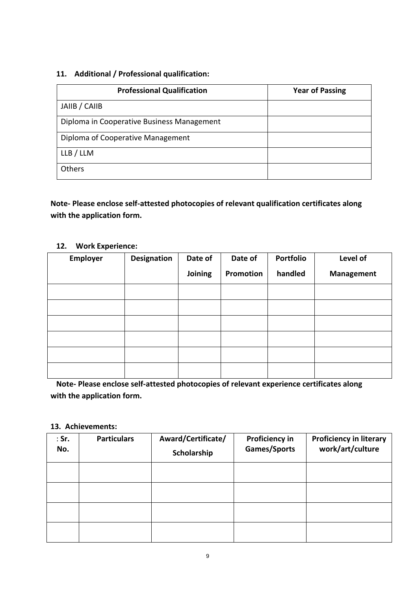#### **11. Additional / Professional qualification:**

| <b>Professional Qualification</b>          | <b>Year of Passing</b> |
|--------------------------------------------|------------------------|
| JAIIB / CAIIB                              |                        |
| Diploma in Cooperative Business Management |                        |
| Diploma of Cooperative Management          |                        |
| LLB / LLM                                  |                        |
| Others                                     |                        |

**Note- Please enclose self-attested photocopies of relevant qualification certificates along with the application form.**

#### **12. Work Experience:**

| <b>Employer</b> | Designation | Date of | Date of   | Portfolio | Level of          |
|-----------------|-------------|---------|-----------|-----------|-------------------|
|                 |             | Joining | Promotion | handled   | <b>Management</b> |
|                 |             |         |           |           |                   |
|                 |             |         |           |           |                   |
|                 |             |         |           |           |                   |
|                 |             |         |           |           |                   |
|                 |             |         |           |           |                   |
|                 |             |         |           |           |                   |

**Note- Please enclose self-attested photocopies of relevant experience certificates along with the application form.**

#### **13. Achievements:**

| $:$ Sr.<br>No. | <b>Particulars</b> | Award/Certificate/<br>Scholarship | <b>Proficiency in</b><br>Games/Sports | <b>Proficiency in literary</b><br>work/art/culture |
|----------------|--------------------|-----------------------------------|---------------------------------------|----------------------------------------------------|
|                |                    |                                   |                                       |                                                    |
|                |                    |                                   |                                       |                                                    |
|                |                    |                                   |                                       |                                                    |
|                |                    |                                   |                                       |                                                    |